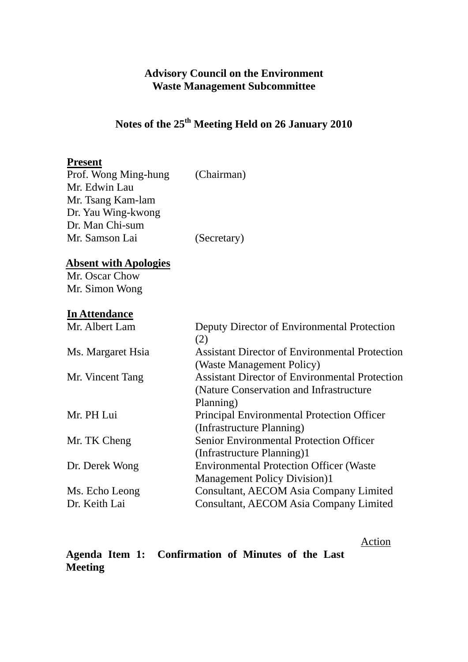## **Advisory Council on the Environment Waste Management Subcommittee**

# **Notes of the 25th Meeting Held on 26 January 2010**

# **Present**

| Prof. Wong Ming-hung | (Chairman)  |
|----------------------|-------------|
| Mr. Edwin Lau        |             |
| Mr. Tsang Kam-lam    |             |
| Dr. Yau Wing-kwong   |             |
| Dr. Man Chi-sum      |             |
| Mr. Samson Lai       | (Secretary) |
|                      |             |

# **Absent with Apologies**

Mr. Oscar Chow Mr. Simon Wong

# **In Attendance**

| Mr. Albert Lam    | Deputy Director of Environmental Protection           |  |  |  |
|-------------------|-------------------------------------------------------|--|--|--|
|                   | (2)                                                   |  |  |  |
| Ms. Margaret Hsia | <b>Assistant Director of Environmental Protection</b> |  |  |  |
|                   | (Waste Management Policy)                             |  |  |  |
| Mr. Vincent Tang  | <b>Assistant Director of Environmental Protection</b> |  |  |  |
|                   | (Nature Conservation and Infrastructure)              |  |  |  |
|                   | Planning)                                             |  |  |  |
| Mr. PH Lui        | <b>Principal Environmental Protection Officer</b>     |  |  |  |
|                   | (Infrastructure Planning)                             |  |  |  |
| Mr. TK Cheng      | <b>Senior Environmental Protection Officer</b>        |  |  |  |
|                   | (Infrastructure Planning)1                            |  |  |  |
| Dr. Derek Wong    | <b>Environmental Protection Officer (Waster</b>       |  |  |  |
|                   | <b>Management Policy Division)1</b>                   |  |  |  |
| Ms. Echo Leong    | Consultant, AECOM Asia Company Limited                |  |  |  |
| Dr. Keith Lai     | Consultant, AECOM Asia Company Limited                |  |  |  |
|                   |                                                       |  |  |  |

Action

|                |  | Agenda Item 1: Confirmation of Minutes of the Last |  |  |  |
|----------------|--|----------------------------------------------------|--|--|--|
| <b>Meeting</b> |  |                                                    |  |  |  |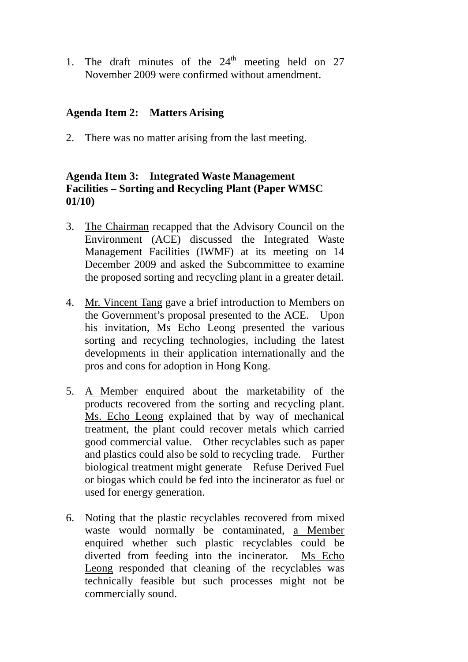1. The draft minutes of the  $24<sup>th</sup>$  meeting held on 27 November 2009 were confirmed without amendment.

#### **Agenda Item 2: Matters Arising**

2. There was no matter arising from the last meeting.

# **Agenda Item 3: Integrated Waste Management Facilities – Sorting and Recycling Plant (Paper WMSC 01/10)**

- 3. The Chairman recapped that the Advisory Council on the Environment (ACE) discussed the Integrated Waste Management Facilities (IWMF) at its meeting on 14 December 2009 and asked the Subcommittee to examine the proposed sorting and recycling plant in a greater detail.
- 4. Mr. Vincent Tang gave a brief introduction to Members on the Government's proposal presented to the ACE. Upon his invitation, Ms Echo Leong presented the various sorting and recycling technologies, including the latest developments in their application internationally and the pros and cons for adoption in Hong Kong.
- 5. A Member enquired about the marketability of the products recovered from the sorting and recycling plant. Ms. Echo Leong explained that by way of mechanical treatment, the plant could recover metals which carried good commercial value. Other recyclables such as paper and plastics could also be sold to recycling trade. Further biological treatment might generate Refuse Derived Fuel or biogas which could be fed into the incinerator as fuel or used for energy generation.
- 6. Noting that the plastic recyclables recovered from mixed waste would normally be contaminated, a Member enquired whether such plastic recyclables could be diverted from feeding into the incinerator. Ms Echo Leong responded that cleaning of the recyclables was technically feasible but such processes might not be commercially sound.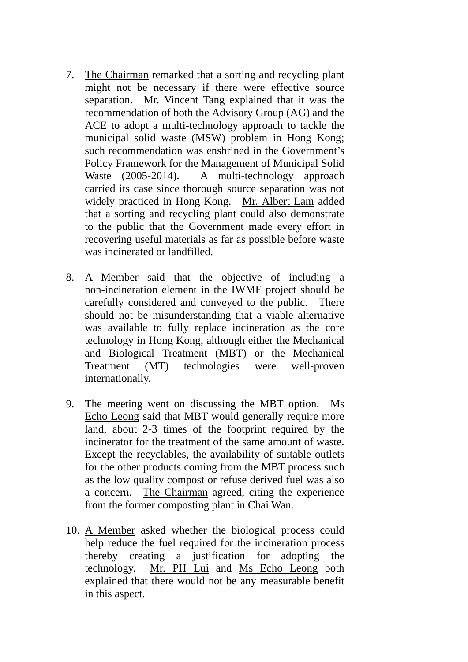- 7. The Chairman remarked that a sorting and recycling plant might not be necessary if there were effective source separation. Mr. Vincent Tang explained that it was the recommendation of both the Advisory Group (AG) and the ACE to adopt a multi-technology approach to tackle the municipal solid waste (MSW) problem in Hong Kong; such recommendation was enshrined in the Government's Policy Framework for the Management of Municipal Solid Waste (2005-2014). A multi-technology approach carried its case since thorough source separation was not widely practiced in Hong Kong. Mr. Albert Lam added that a sorting and recycling plant could also demonstrate to the public that the Government made every effort in recovering useful materials as far as possible before waste was incinerated or landfilled.
- 8. A Member said that the objective of including a non-incineration element in the IWMF project should be carefully considered and conveyed to the public. There should not be misunderstanding that a viable alternative was available to fully replace incineration as the core technology in Hong Kong, although either the Mechanical and Biological Treatment (MBT) or the Mechanical Treatment (MT) technologies were well-proven internationally.
- 9. The meeting went on discussing the MBT option. Ms Echo Leong said that MBT would generally require more land, about 2-3 times of the footprint required by the incinerator for the treatment of the same amount of waste. Except the recyclables, the availability of suitable outlets for the other products coming from the MBT process such as the low quality compost or refuse derived fuel was also a concern. The Chairman agreed, citing the experience from the former composting plant in Chai Wan.
- 10. A Member asked whether the biological process could help reduce the fuel required for the incineration process thereby creating a justification for adopting the technology. Mr. PH Lui and Ms Echo Leong both explained that there would not be any measurable benefit in this aspect.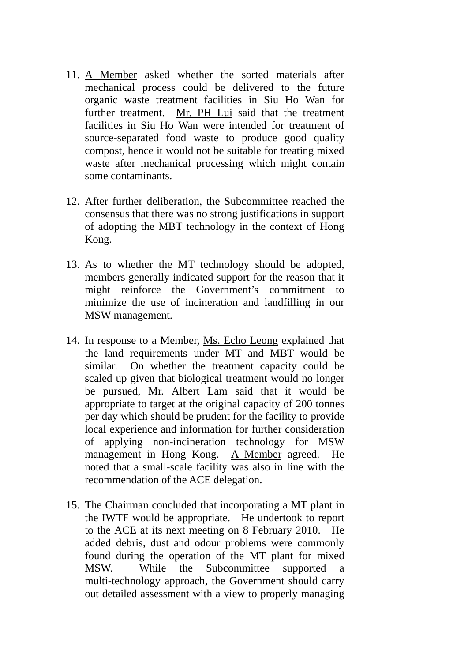- 11. A Member asked whether the sorted materials after mechanical process could be delivered to the future organic waste treatment facilities in Siu Ho Wan for further treatment. Mr. PH Lui said that the treatment facilities in Siu Ho Wan were intended for treatment of source-separated food waste to produce good quality compost, hence it would not be suitable for treating mixed waste after mechanical processing which might contain some contaminants.
- 12. After further deliberation, the Subcommittee reached the consensus that there was no strong justifications in support of adopting the MBT technology in the context of Hong Kong.
- 13. As to whether the MT technology should be adopted, members generally indicated support for the reason that it might reinforce the Government's commitment to minimize the use of incineration and landfilling in our MSW management.
- 14. In response to a Member, Ms. Echo Leong explained that the land requirements under MT and MBT would be similar. On whether the treatment capacity could be scaled up given that biological treatment would no longer be pursued, Mr. Albert Lam said that it would be appropriate to target at the original capacity of 200 tonnes per day which should be prudent for the facility to provide local experience and information for further consideration of applying non-incineration technology for MSW management in Hong Kong. A Member agreed. He noted that a small-scale facility was also in line with the recommendation of the ACE delegation.
- 15. The Chairman concluded that incorporating a MT plant in the IWTF would be appropriate. He undertook to report to the ACE at its next meeting on 8 February 2010. He added debris, dust and odour problems were commonly found during the operation of the MT plant for mixed MSW. While the Subcommittee supported a multi-technology approach, the Government should carry out detailed assessment with a view to properly managing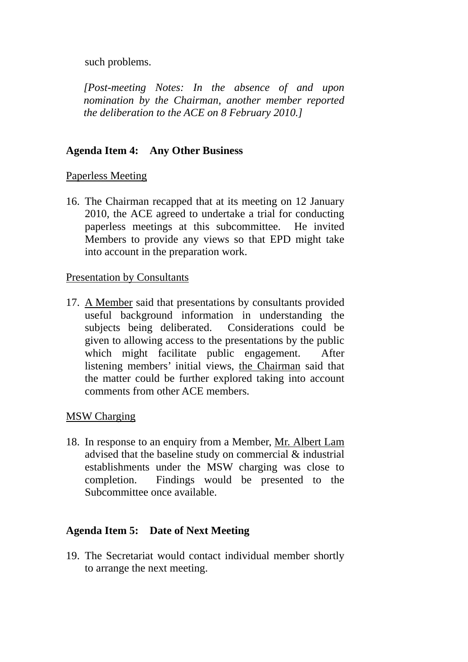such problems.

*[Post-meeting Notes: In the absence of and upon nomination by the Chairman, another member reported the deliberation to the ACE on 8 February 2010.]* 

# **Agenda Item 4: Any Other Business**

#### Paperless Meeting

16. The Chairman recapped that at its meeting on 12 January 2010, the ACE agreed to undertake a trial for conducting paperless meetings at this subcommittee. He invited Members to provide any views so that EPD might take into account in the preparation work.

#### Presentation by Consultants

17. A Member said that presentations by consultants provided useful background information in understanding the subjects being deliberated. Considerations could be given to allowing access to the presentations by the public which might facilitate public engagement. After listening members' initial views, the Chairman said that the matter could be further explored taking into account comments from other ACE members.

#### MSW Charging

18. In response to an enquiry from a Member, Mr. Albert Lam advised that the baseline study on commercial & industrial establishments under the MSW charging was close to completion. Findings would be presented to the Subcommittee once available.

## **Agenda Item 5: Date of Next Meeting**

19. The Secretariat would contact individual member shortly to arrange the next meeting.